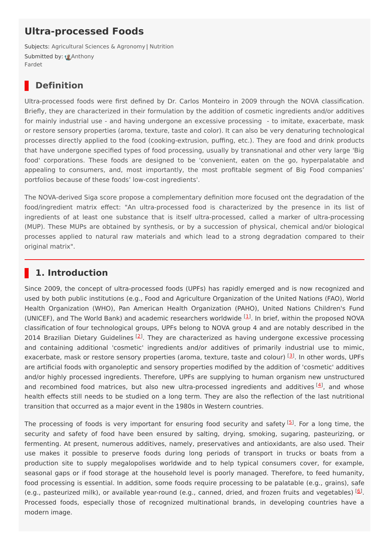# **Ultra-processed Foods**

Subjects: [Agricultural](https://encyclopedia.pub/item/subject/3) Sciences & Agronomy | [Nutrition](https://encyclopedia.pub/item/subject/71) [Submitted](https://sciprofiles.com/profile/131078) by: **Anthony** Fardet

### **Definition**

Ultra-processed foods were first defined by Dr. Carlos Monteiro in 2009 through the NOVA classification. Briefly, they are characterized in their formulation by the addition of cosmetic ingredients and/or additives for mainly industrial use - and having undergone an excessive processing - to imitate, exacerbate, mask or restore sensory properties (aroma, texture, taste and color). It can also be very denaturing technological processes directly applied to the food (cooking-extrusion, puffing, etc.). They are food and drink products that have undergone specified types of food processing, usually by transnational and other very large 'Big food' corporations. These foods are designed to be 'convenient, eaten on the go, hyperpalatable and appealing to consumers, and, most importantly, the most profitable segment of Big Food companies' portfolios because of these foods' low-cost ingredients'.

The NOVA-derived Siga score propose a complementary definition more focused ont the degradation of the food/ingredient matrix effect: "An ultra-processed food is characterized by the presence in its list of ingredients of at least one substance that is itself ultra-processed, called a marker of ultra-processing (MUP). These MUPs are obtained by synthesis, or by a succession of physical, chemical and/or biological processes applied to natural raw materials and which lead to a strong degradation compared to their original matrix".

## **1. Introduction**

Since 2009, the concept of ultra-processed foods (UPFs) has rapidly emerged and is now recognized and used by both public institutions (e.g., Food and Agriculture Organization of the United Nations (FAO), World Health Organization (WHO), Pan American Health Organization (PAHO), United Nations Children's Fund (UNICEF), and The World Bank) and academic researchers worldwide  $[1]$  $[1]$  $[1]$ . In brief, within the proposed NOVA classification of four technological groups, UPFs belong to NOVA group 4 and are notably described in the 2014 Brazilian Dietary Guidelines <sup>[\[2](#page-5-1)]</sup>. They are characterized as having undergone excessive processing and containing additional 'cosmetic' ingredients and/or additives of primarily industrial use to mimic, exacerbate, mask or restore sensory properties (aroma, texture, taste and colour) <sup>[\[3](#page-5-2)]</sup>. In other words, UPFs are artificial foods with organoleptic and sensory properties modified by the addition of 'cosmetic' additives and/or highly processed ingredients. Therefore, UPFs are supplying to human organism new unstructured and recombined food matrices, but also new ultra-processed ingredients and additives [\[4](#page-5-3)], and whose health effects still needs to be studied on a long term. They are also the reflection of the last nutritional transition that occurred as a major event in the 1980s in Western countries.

The processing of foods is very important for ensuring food security and safety [[5](#page-5-4)]. For a long time, the security and safety of food have been ensured by salting, drying, smoking, sugaring, pasteurizing, or fermenting. At present, numerous additives, namely, preservatives and antioxidants, are also used. Their use makes it possible to preserve foods during long periods of transport in trucks or boats from a production site to supply megalopolises worldwide and to help typical consumers cover, for example, seasonal gaps or if food storage at the household level is poorly managed. Therefore, to feed humanity, food processing is essential. In addition, some foods require processing to be palatable (e.g., grains), safe (e.g., pasteurized milk), or available year-round (e.g., canned, dried, and frozen fruits and vegetables)  $[6]$  $[6]$ . Processed foods, especially those of recognized multinational brands, in developing countries have a modern image.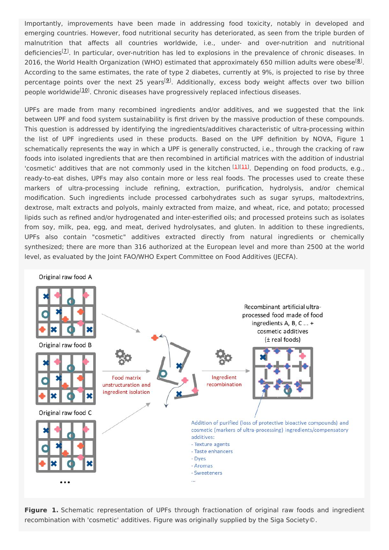Importantly, improvements have been made in addressing food toxicity, notably in developed and emerging countries. However, food nutritional security has deteriorated, as seen from the triple burden of malnutrition that affects all countries worldwide, i.e., under- and over-nutrition and nutritional deficiencies<sup>[Z]</sup>. In particular, over-nutrition has led to explosions in the prevalence of chronic diseases. In 2016, the World Health Organization (WHO) estimated that approximately 650 million adults were obese<sup>[\[8](#page-5-7)]</sup>. According to the same estimates, the rate of type 2 diabetes, currently at 9%, is projected to rise by three percentage points over the next 25 years<sup>[[9](#page-5-8)]</sup>. Additionally, excess body weight affects over two billion people worldwide<sup>[\[10](#page-5-9)]</sup>. Chronic diseases have progressively replaced infectious diseases.

UPFs are made from many recombined ingredients and/or additives, and we suggested that the link between UPF and food system sustainability is first driven by the massive production of these compounds. This question is addressed by identifying the ingredients/additives characteristic of ultra-processing within the list of UPF ingredients used in these products. Based on the UPF definition by NOVA, Figure 1 schematically represents the way in which a UPF is generally constructed, i.e., through the cracking of raw foods into isolated ingredients that are then recombined in artificial matrices with the addition of industrial 'cosmetic' additives that are not commonly used in the kitchen [\[1](#page-5-0)][\[11](#page-5-10)]. Depending on food products, e.g., ready-to-eat dishes, UPFs may also contain more or less real foods. The processes used to create these markers of ultra-processing include refining, extraction, purification, hydrolysis, and/or chemical modification. Such ingredients include processed carbohydrates such as sugar syrups, maltodextrins, dextrose, malt extracts and polyols, mainly extracted from maize, and wheat, rice, and potato; processed lipids such as refined and/or hydrogenated and inter-esterified oils; and processed proteins such as isolates from soy, milk, pea, egg, and meat, derived hydrolysates, and gluten. In addition to these ingredients, UPFs also contain "cosmetic" additives extracted directly from natural ingredients or chemically synthesized; there are more than 316 authorized at the European level and more than 2500 at the world level, as evaluated by the Joint FAO/WHO Expert Committee on Food Additives (JECFA).



**Figure 1.** Schematic representation of UPFs through fractionation of original raw foods and ingredient recombination with 'cosmetic' additives. Figure was originally supplied by the Siga Society©.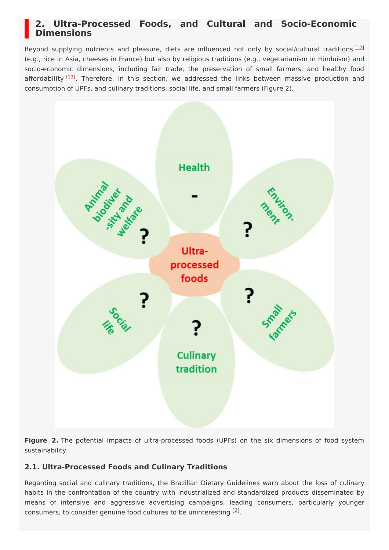### **2. Ultra-Processed Foods, and Cultural and Socio-Economic Dimensions**

Beyond supplying nutrients and pleasure, diets are influenced not only by social/cultural traditions [\[12](#page-5-11)] (e.g., rice in Asia, cheeses in France) but also by religious traditions (e.g., vegetarianism in Hinduism) and socio-economic dimensions, including fair trade, the preservation of small farmers, and healthy food affordability <sup>[[13](#page-5-12)]</sup>. Therefore, in this section, we addressed the links between massive production and consumption of UPFs, and culinary traditions, social life, and small farmers (Figure 2).



**Figure 2.** The potential impacts of ultra-processed foods (UPFs) on the six dimensions of food system sustainability

### **2.1. Ultra-Processed Foods and Culinary Traditions**

Regarding social and culinary traditions, the Brazilian Dietary Guidelines warn about the loss of culinary habits in the confrontation of the country with industrialized and standardized products disseminated by means of intensive and aggressive advertising campaigns, leading consumers, particularly younger consumers, to consider genuine food cultures to be uninteresting  $[2]$  $[2]$ .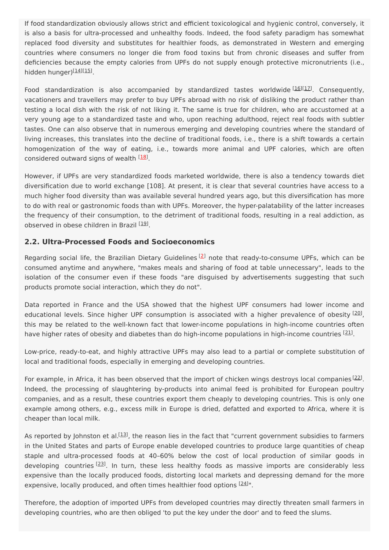If food standardization obviously allows strict and efficient toxicological and hygienic control, conversely, it is also a basis for ultra-processed and unhealthy foods. Indeed, the food safety paradigm has somewhat replaced food diversity and substitutes for healthier foods, as demonstrated in Western and emerging countries where consumers no longer die from food toxins but from chronic diseases and suffer from deficiencies because the empty calories from UPFs do not supply enough protective micronutrients (i.e., hidden hunger)<sup>[<u>14][\[15](#page-5-14)]</u></sup>

Food standardization is also accompanied by standardized tastes worldwide [\[16](#page-5-15)][\[17](#page-5-16)]. Consequently, vacationers and travellers may prefer to buy UPFs abroad with no risk of disliking the product rather than testing a local dish with the risk of not liking it. The same is true for children, who are accustomed at a very young age to a standardized taste and who, upon reaching adulthood, reject real foods with subtler tastes. One can also observe that in numerous emerging and developing countries where the standard of living increases, this translates into the decline of traditional foods, i.e., there is a shift towards a certain homogenization of the way of eating, i.e., towards more animal and UPF calories, which are often considered outward signs of wealth <sup>[\[18\]](#page-5-15)</sup>.

However, if UPFs are very standardized foods marketed worldwide, there is also a tendency towards diet diversification due to world exchange [108]. At present, it is clear that several countries have access to a much higher food diversity than was available several hundred years ago, but this diversification has more to do with real or gastronomic foods than with UPFs. Moreover, the hyper-palatability of the latter increases the frequency of their consumption, to the detriment of traditional foods, resulting in a real addiction, as observed in obese children in Brazil <a>[\[19](#page-5-17)]</a>.

#### **2.2. Ultra-Processed Foods and Socioeconomics**

Regarding social life, the Brazilian Dietary Guidelines <a>[[2](#page-5-1)]</a> note that ready-to-consume UPFs, which can be consumed anytime and anywhere, "makes meals and sharing of food at table unnecessary", leads to the isolation of the consumer even if these foods "are disguised by advertisements suggesting that such products promote social interaction, which they do not".

Data reported in France and the USA showed that the highest UPF consumers had lower income and educational levels. Since higher UPF consumption is associated with a higher prevalence of obesity <sup>[\[20](#page-6-0)]</sup>, this may be related to the well-known fact that lower-income populations in high-income countries often have higher rates of obesity and diabetes than do high-income populations in high-income countries  $^{[21]}$  $^{[21]}$  $^{[21]}$ .

Low-price, ready-to-eat, and highly attractive UPFs may also lead to a partial or complete substitution of local and traditional foods, especially in emerging and developing countries.

For example, in Africa, it has been observed that the import of chicken wings destroys local companies  $^{[22]}$  $^{[22]}$  $^{[22]}$ . Indeed, the processing of slaughtering by-products into animal feed is prohibited for European poultry companies, and as a result, these countries export them cheaply to developing countries. This is only one example among others, e.g., excess milk in Europe is dried, defatted and exported to Africa, where it is cheaper than local milk.

As reported by Johnston et al.<sup>[[13\]](#page-5-12)</sup>, the reason lies in the fact that "current government subsidies to farmers in the United States and parts of Europe enable developed countries to produce large quantities of cheap staple and ultra-processed foods at 40–60% below the cost of local production of similar goods in developing countries <sup>[\[23](#page-6-3)]</sup>. In turn, these less healthy foods as massive imports are considerably less expensive than the locally produced foods, distorting local markets and depressing demand for the more expensive, locally produced, and often times healthier food options  $^{[24]}$  $^{[24]}$  $^{[24]}$ ".

Therefore, the adoption of imported UPFs from developed countries may directly threaten small farmers in developing countries, who are then obliged 'to put the key under the door' and to feed the slums.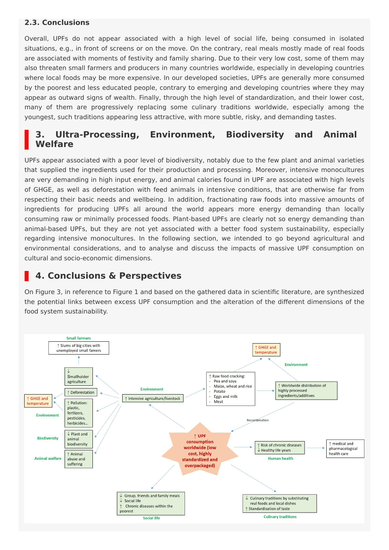#### **2.3. Conclusions**

Overall, UPFs do not appear associated with a high level of social life, being consumed in isolated situations, e.g., in front of screens or on the move. On the contrary, real meals mostly made of real foods are associated with moments of festivity and family sharing. Due to their very low cost, some of them may also threaten small farmers and producers in many countries worldwide, especially in developing countries where local foods may be more expensive. In our developed societies, UPFs are generally more consumed by the poorest and less educated people, contrary to emerging and developing countries where they may appear as outward signs of wealth. Finally, through the high level of standardization, and their lower cost, many of them are progressively replacing some culinary traditions worldwide, especially among the youngest, such traditions appearing less attractive, with more subtle, risky, and demanding tastes.

### **3. Ultra-Processing, Environment, Biodiversity and Animal Welfare**

UPFs appear associated with a poor level of biodiversity, notably due to the few plant and animal varieties that supplied the ingredients used for their production and processing. Moreover, intensive monocultures are very demanding in high input energy, and animal calories found in UPF are associated with high levels of GHGE, as well as deforestation with feed animals in intensive conditions, that are otherwise far from respecting their basic needs and wellbeing. In addition, fractionating raw foods into massive amounts of ingredients for producing UPFs all around the world appears more energy demanding than locally consuming raw or minimally processed foods. Plant-based UPFs are clearly not so energy demanding than animal-based UPFs, but they are not yet associated with a better food system sustainability, especially regarding intensive monocultures. In the following section, we intended to go beyond agricultural and environmental considerations, and to analyse and discuss the impacts of massive UPF consumption on cultural and socio-economic dimensions.

## **4. Conclusions & Perspectives**

On Figure 3, in reference to Figure 1 and based on the gathered data in scientific literature, are synthesized the potential links between excess UPF consumption and the alteration of the different dimensions of the food system sustainability.

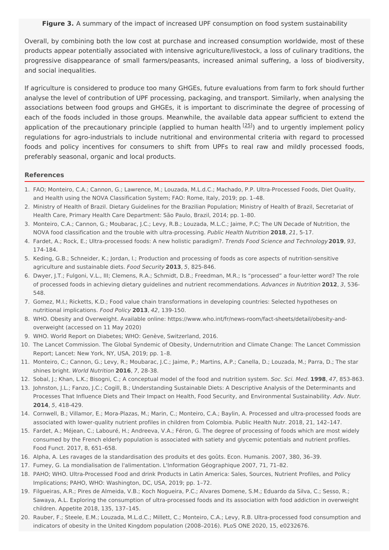**Figure 3.** A summary of the impact of increased UPF consumption on food system sustainability

Overall, by combining both the low cost at purchase and increased consumption worldwide, most of these products appear potentially associated with intensive agriculture/livestock, a loss of culinary traditions, the progressive disappearance of small farmers/peasants, increased animal suffering, a loss of biodiversity, and social inequalities.

If agriculture is considered to produce too many GHGEs, future evaluations from farm to fork should further analyse the level of contribution of UPF processing, packaging, and transport. Similarly, when analysing the associations between food groups and GHGEs, it is important to discriminate the degree of processing of each of the foods included in those groups. Meanwhile, the available data appear sufficient to extend the application of the precautionary principle (applied to human health <sup>[[25](#page-6-5)]</sup>) and to urgently implement policy regulations for agro-industrials to include nutritional and environmental criteria with regard to processed foods and policy incentives for consumers to shift from UPFs to real raw and mildly processed foods, preferably seasonal, organic and local products.

#### <span id="page-5-0"></span>**References**

- <span id="page-5-1"></span>1. FAO; Monteiro, C.A.; Cannon, G.; Lawrence, M.; Louzada, M.L.d.C.; Machado, P.P. Ultra-Processed Foods, Diet Quality, and Health using the NOVA Classification System; FAO: Rome, Italy, 2019; pp. 1–48.
- <span id="page-5-2"></span>2. Ministry of Health of Brazil. Dietary Guidelines for the Brazilian Population; Ministry of Health of Brazil, Secretariat of Health Care, Primary Health Care Department: São Paulo, Brazil, 2014; pp. 1–80.
- <span id="page-5-3"></span>3. Monteiro, C.A.; Cannon, G.; Moubarac, J.C.; Levy, R.B.; Louzada, M.L.C.; Jaime, P.C; The UN Decade of Nutrition, the NOVA food classification and the trouble with ultra-processing. Public Health Nutrition **2018**, 21, 5-17.
- <span id="page-5-4"></span>4. Fardet, A.; Rock, E.; Ultra-processed foods: A new holistic paradigm?. Trends Food Science and Technology**2019**, 93, 174-184.
- <span id="page-5-5"></span>5. Keding, G.B.; Schneider, K.; Jordan, I.; Production and processing of foods as core aspects of nutrition-sensitive agriculture and sustainable diets. Food Security **2013**, 5, 825-846.
- <span id="page-5-6"></span>6. Dwyer, J.T.; Fulgoni, V.L., III; Clemens, R.A.; Schmidt, D.B.; Freedman, M.R.; Is "processed" a four-letter word? The role of processed foods in achieving dietary guidelines and nutrient recommendations. Advances in Nutrition **2012**, 3, 536- 548.
- <span id="page-5-7"></span>7. Gomez, M.I.; Ricketts, K.D.; Food value chain transformations in developing countries: Selected hypotheses on nutritional implications. Food Policy **2013**, 42, 139-150.
- <span id="page-5-8"></span>8. WHO. Obesity and Overweight. Available online: https://www.who.int/fr/news-room/fact-sheets/detail/obesity-andoverweight (accessed on 11 May 2020)
- <span id="page-5-9"></span>9. WHO. World Report on Diabetes; WHO: Genève, Switzerland, 2016.
- <span id="page-5-10"></span>10. The Lancet Commission. The Global Syndemic of Obesity, Undernutrition and Climate Change: The Lancet Commission Report; Lancet: New York, NY, USA, 2019; pp. 1–8.
- <span id="page-5-11"></span>11. Monteiro, C.; Cannon, G.; Levy, R.; Moubarac, J.C.; Jaime, P.; Martins, A.P.; Canella, D.; Louzada, M.; Parra, D.; The star shines bright. World Nutrition **2016**, 7, 28-38.
- <span id="page-5-12"></span>12. Sobal, J.; Khan, L.K.; Bisogni, C.; A conceptual model of the food and nutrition system. Soc. Sci. Med. **1998**, 47, 853-863.
- <span id="page-5-15"></span>13. Johnston, J.L.; Fanzo, J.C.; Cogill, B.; Understanding Sustainable Diets: A Descriptive Analysis of the Determinants and Processes That Influence Diets and Their Impact on Health, Food Security, and Environmental Sustainability. Adv. Nutr. **2014**, 5, 418-429.
- 14. Cornwell, B.; Villamor, E.; Mora-Plazas, M.; Marin, C.; Monteiro, C.A.; Baylin, A. Processed and ultra-processed foods are associated with lower-quality nutrient profiles in children from Colombia. Public Health Nutr. 2018, 21, 142–147.
- 15. Fardet, A.; Méjean, C.; Labouré, H.; Andreeva, V.A.; Féron, G. The degree of processing of foods which are most widely consumed by the French elderly population is associated with satiety and glycemic potentials and nutrient profiles. Food Funct. 2017, 8, 651–658.
- <span id="page-5-16"></span><span id="page-5-13"></span>16. Alpha, A. Les ravages de la standardisation des produits et des goûts. Econ. Humanis. 2007, 380, 36–39.
- 17. Fumey, G. La mondialisation de l'alimentation. L'Information Géographique 2007, 71, 71–82.
- <span id="page-5-14"></span>18. PAHO; WHO. Ultra-Processed Food and drink Products in Latin America: Sales, Sources, Nutrient Profiles, and Policy Implications; PAHO, WHO: Washington, DC, USA, 2019; pp. 1–72.
- <span id="page-5-17"></span>19. Filgueiras, A.R.; Pires de Almeida, V.B.; Koch Nogueira, P.C.; Alvares Domene, S.M.; Eduardo da Silva, C.; Sesso, R.; Sawaya, A.L. Exploring the consumption of ultra-processed foods and its association with food addiction in overweight children. Appetite 2018, 135, 137–145.
- 20. Rauber, F.; Steele, E.M.; Louzada, M.L.d.C.; Millett, C.; Monteiro, C.A.; Levy, R.B. Ultra-processed food consumption and indicators of obesity in the United Kingdom population (2008–2016). PLoS ONE 2020, 15, e0232676.